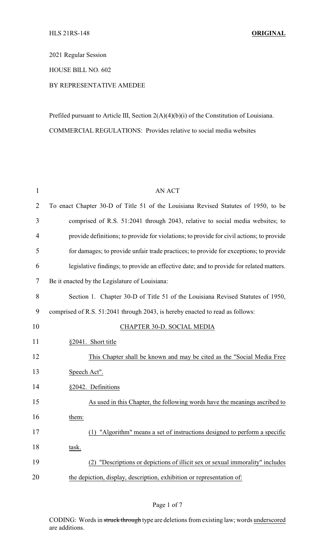2021 Regular Session

HOUSE BILL NO. 602

## BY REPRESENTATIVE AMEDEE

Prefiled pursuant to Article III, Section 2(A)(4)(b)(i) of the Constitution of Louisiana. COMMERCIAL REGULATIONS: Provides relative to social media websites

| $\mathbf{1}$   | <b>AN ACT</b>                                                                            |
|----------------|------------------------------------------------------------------------------------------|
| $\overline{2}$ | To enact Chapter 30-D of Title 51 of the Louisiana Revised Statutes of 1950, to be       |
| 3              | comprised of R.S. 51:2041 through 2043, relative to social media websites; to            |
| 4              | provide definitions; to provide for violations; to provide for civil actions; to provide |
| 5              | for damages; to provide unfair trade practices; to provide for exceptions; to provide    |
| 6              | legislative findings; to provide an effective date; and to provide for related matters.  |
| 7              | Be it enacted by the Legislature of Louisiana:                                           |
| 8              | Section 1. Chapter 30-D of Title 51 of the Louisiana Revised Statutes of 1950,           |
| 9              | comprised of R.S. 51:2041 through 2043, is hereby enacted to read as follows:            |
| 10             | CHAPTER 30-D. SOCIAL MEDIA                                                               |
| 11             | §2041. Short title                                                                       |
| 12             | This Chapter shall be known and may be cited as the "Social Media Free                   |
| 13             | Speech Act".                                                                             |
| 14             | §2042. Definitions                                                                       |
| 15             | As used in this Chapter, the following words have the meanings ascribed to               |
| 16             | them:                                                                                    |
| 17             | (1) "Algorithm" means a set of instructions designed to perform a specific               |
| 18             | task.                                                                                    |
| 19             | "Descriptions or depictions of illicit sex or sexual immorality" includes                |
| 20             | the depiction, display, description, exhibition or representation of:                    |

## Page 1 of 7

CODING: Words in struck through type are deletions from existing law; words underscored are additions.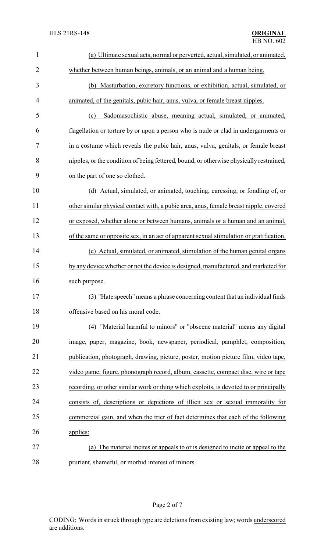| $\mathbf{1}$   | (a) Ultimate sexual acts, normal or perverted, actual, simulated, or animated,          |
|----------------|-----------------------------------------------------------------------------------------|
| $\overline{2}$ | whether between human beings, animals, or an animal and a human being.                  |
| 3              | (b) Masturbation, excretory functions, or exhibition, actual, simulated, or             |
| 4              | animated, of the genitals, pubic hair, anus, vulva, or female breast nipples.           |
| 5              | Sadomasochistic abuse, meaning actual, simulated, or animated,<br>(c)                   |
| 6              | flagellation or torture by or upon a person who is nude or clad in undergarments or     |
| 7              | in a costume which reveals the pubic hair, anus, vulva, genitals, or female breast      |
| 8              | nipples, or the condition of being fettered, bound, or otherwise physically restrained, |
| 9              | on the part of one so clothed.                                                          |
| 10             | (d) Actual, simulated, or animated, touching, caressing, or fondling of, or             |
| 11             | other similar physical contact with, a pubic area, anus, female breast nipple, covered  |
| 12             | or exposed, whether alone or between humans, animals or a human and an animal,          |
| 13             | of the same or opposite sex, in an act of apparent sexual stimulation or gratification. |
| 14             | (e) Actual, simulated, or animated, stimulation of the human genital organs             |
| 15             | by any device whether or not the device is designed, manufactured, and marketed for     |
| 16             | such purpose.                                                                           |
| 17             | (3) "Hate speech" means a phrase concerning content that an individual finds            |
| 18             | offensive based on his moral code.                                                      |
| 19             | "Material harmful to minors" or "obscene material" means any digital<br>(4)             |
| 20             | image, paper, magazine, book, newspaper, periodical, pamphlet, composition,             |
| 21             | publication, photograph, drawing, picture, poster, motion picture film, video tape,     |
| 22             | video game, figure, phonograph record, album, cassette, compact disc, wire or tape      |
| 23             | recording, or other similar work or thing which exploits, is devoted to or principally  |
| 24             | consists of, descriptions or depictions of illicit sex or sexual immorality for         |
| 25             | commercial gain, and when the trier of fact determines that each of the following       |
| 26             | applies:                                                                                |
| 27             | The material incites or appeals to or is designed to incite or appeal to the<br>(a)     |
| 28             | prurient, shameful, or morbid interest of minors.                                       |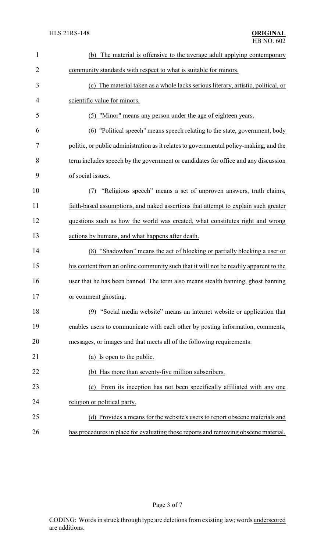| $\mathbf{1}$ | The material is offensive to the average adult applying contemporary<br>(b)            |
|--------------|----------------------------------------------------------------------------------------|
| 2            | community standards with respect to what is suitable for minors.                       |
| 3            | (c) The material taken as a whole lacks serious literary, artistic, political, or      |
| 4            | scientific value for minors.                                                           |
| 5            | (5) "Minor" means any person under the age of eighteen years.                          |
| 6            | "Political speech" means speech relating to the state, government, body<br>(6)         |
| 7            | politic, or public administration as it relates to governmental policy-making, and the |
| 8            | term includes speech by the government or candidates for office and any discussion     |
| 9            | of social issues.                                                                      |
| 10           | "Religious speech" means a set of unproven answers, truth claims,<br>(7)               |
| 11           | faith-based assumptions, and naked assertions that attempt to explain such greater     |
| 12           | questions such as how the world was created, what constitutes right and wrong          |
| 13           | actions by humans, and what happens after death.                                       |
| 14           | (8) "Shadowban" means the act of blocking or partially blocking a user or              |
| 15           | his content from an online community such that it will not be readily apparent to the  |
| 16           | user that he has been banned. The term also means stealth banning, ghost banning       |
| 17           | or comment ghosting.                                                                   |
| 18           | (9) "Social media website" means an internet website or application that               |
| 19           | enables users to communicate with each other by posting information, comments,         |
| 20           | messages, or images and that meets all of the following requirements:                  |
| 21           | (a) Is open to the public.                                                             |
| 22           | (b) Has more than seventy-five million subscribers.                                    |
| 23           | From its inception has not been specifically affiliated with any one<br>(c)            |
| 24           | religion or political party.                                                           |
| 25           | (d) Provides a means for the website's users to report obscene materials and           |
| 26           | has procedures in place for evaluating those reports and removing obscene material.    |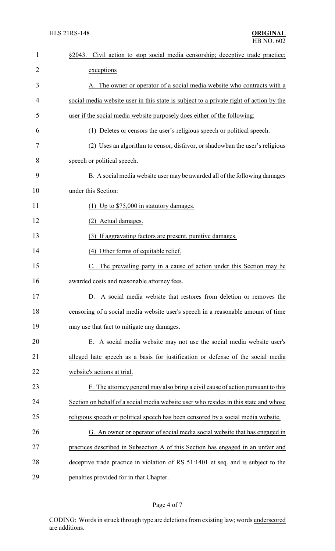| $\mathbf{1}$   | Civil action to stop social media censorship; deceptive trade practice;<br>§2043.      |
|----------------|----------------------------------------------------------------------------------------|
| $\overline{2}$ | exceptions                                                                             |
| 3              | A. The owner or operator of a social media website who contracts with a                |
| 4              | social media website user in this state is subject to a private right of action by the |
| 5              | user if the social media website purposely does either of the following:               |
| 6              | (1) Deletes or censors the user's religious speech or political speech.                |
| 7              | (2) Uses an algorithm to censor, disfavor, or shadowban the user's religious           |
| 8              | speech or political speech.                                                            |
| 9              | B. A social media website user may be awarded all of the following damages             |
| 10             | under this Section:                                                                    |
| 11             | (1) Up to $$75,000$ in statutory damages.                                              |
| 12             | (2) Actual damages.                                                                    |
| 13             | (3) If aggravating factors are present, punitive damages.                              |
| 14             | (4) Other forms of equitable relief.                                                   |
| 15             | C. The prevailing party in a cause of action under this Section may be                 |
| 16             | awarded costs and reasonable attorney fees.                                            |
| 17             | D. A social media website that restores from deletion or removes the                   |
| 18             | censoring of a social media website user's speech in a reasonable amount of time       |
| 19             | may use that fact to mitigate any damages.                                             |
| 20             | E. A social media website may not use the social media website user's                  |
| 21             | alleged hate speech as a basis for justification or defense of the social media        |
| 22             | website's actions at trial.                                                            |
| 23             | F. The attorney general may also bring a civil cause of action pursuant to this        |
| 24             | Section on behalf of a social media website user who resides in this state and whose   |
| 25             | religious speech or political speech has been censored by a social media website.      |
| 26             | G. An owner or operator of social media social website that has engaged in             |
| 27             | practices described in Subsection A of this Section has engaged in an unfair and       |
| 28             | deceptive trade practice in violation of RS 51:1401 et seq. and is subject to the      |
| 29             | penalties provided for in that Chapter.                                                |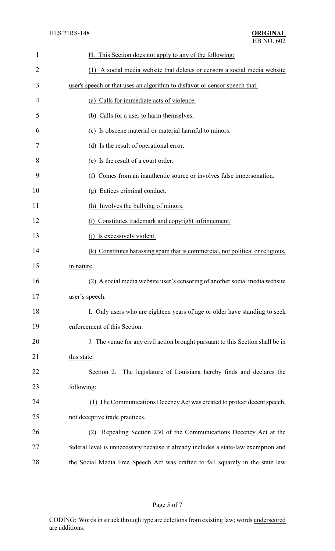| 1              | H. This Section does not apply to any of the following:                            |
|----------------|------------------------------------------------------------------------------------|
| $\overline{2}$ | (1) A social media website that deletes or censors a social media website          |
| 3              | user's speech or that uses an algorithm to disfavor or censor speech that:         |
| 4              | (a) Calls for immediate acts of violence.                                          |
| 5              | (b) Calls for a user to harm themselves.                                           |
| 6              | (c) Is obscene material or material harmful to minors.                             |
| 7              | (d) Is the result of operational error.                                            |
| 8              | (e) Is the result of a court order.                                                |
| 9              | Comes from an inauthentic source or involves false impersonation.<br>(f)           |
| 10             | Entices criminal conduct.<br>$(\mathfrak{g})$                                      |
| 11             | (h) Involves the bullying of minors.                                               |
| 12             | (i) Constitutes trademark and copyright infringement.                              |
| 13             | Is excessively violent.                                                            |
| 14             | (k) Constitutes harassing spam that is commercial, not political or religious,     |
| 15             | in nature.                                                                         |
| 16             | (2) A social media website user's censoring of another social media website        |
| 17             | user's speech.                                                                     |
| 18             | I. Only users who are eighteen years of age or older have standing to seek         |
| 19             | enforcement of this Section.                                                       |
| 20             | J. The venue for any civil action brought pursuant to this Section shall be in     |
| 21             | this state.                                                                        |
| 22             | Section 2. The legislature of Louisiana hereby finds and declares the              |
| 23             | following:                                                                         |
| 24             | (1) The Communications Decency Act was created to protect decent speech,           |
| 25             | not deceptive trade practices.                                                     |
| 26             | Repealing Section 230 of the Communications Decency Act at the<br>(2)              |
| $27\,$         | federal level is unnecessary because it already includes a state-law exemption and |
| 28             | the Social Media Free Speech Act was crafted to fall squarely in the state law     |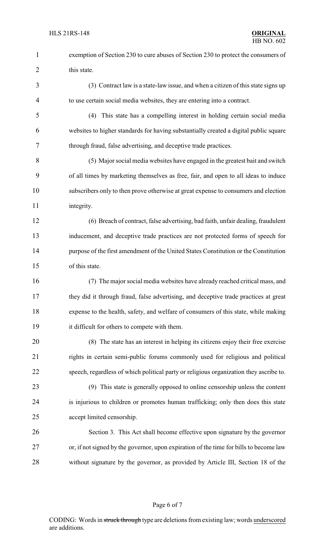- exemption of Section 230 to cure abuses of Section 230 to protect the consumers of 2 this state.
- (3) Contract law is a state-law issue, and when a citizen of this state signs up to use certain social media websites, they are entering into a contract.
- (4) This state has a compelling interest in holding certain social media websites to higher standards for having substantially created a digital public square through fraud, false advertising, and deceptive trade practices.
- (5) Major social media websites have engaged in the greatest bait and switch of all times by marketing themselves as free, fair, and open to all ideas to induce subscribers only to then prove otherwise at great expense to consumers and election 11 integrity.
- (6) Breach of contract, false advertising, bad faith, unfair dealing, fraudulent inducement, and deceptive trade practices are not protected forms of speech for purpose of the first amendment of the United States Constitution or the Constitution of this state.
- (7) The major social media websites have already reached critical mass, and they did it through fraud, false advertising, and deceptive trade practices at great expense to the health, safety, and welfare of consumers of this state, while making it difficult for others to compete with them.
- (8) The state has an interest in helping its citizens enjoy their free exercise rights in certain semi-public forums commonly used for religious and political speech, regardless of which political party or religious organization they ascribe to.
- (9) This state is generally opposed to online censorship unless the content is injurious to children or promotes human trafficking; only then does this state accept limited censorship.
- Section 3. This Act shall become effective upon signature by the governor or, if not signed by the governor, upon expiration of the time for bills to become law without signature by the governor, as provided by Article III, Section 18 of the